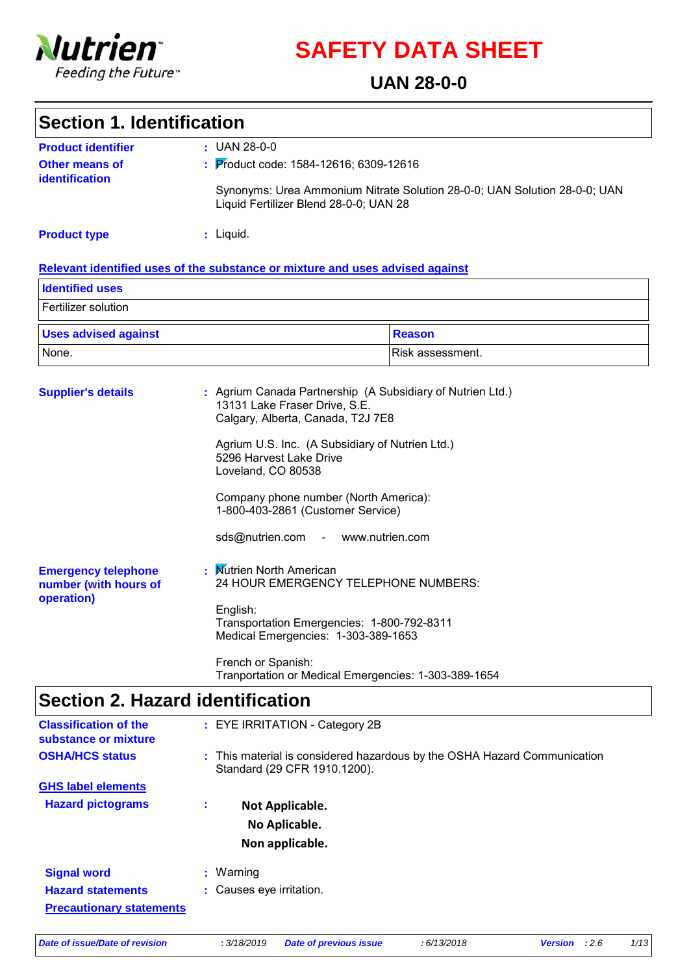

**SAFETY DATA SHEET**

### **UAN 28-0-0**

| <b>Section 1. Identification</b>                                     |                                                                                                                                                                                                                                                                                           |                                                                                              |
|----------------------------------------------------------------------|-------------------------------------------------------------------------------------------------------------------------------------------------------------------------------------------------------------------------------------------------------------------------------------------|----------------------------------------------------------------------------------------------|
| <b>Product identifier</b><br><b>Other means of</b><br>identification | $: UAN 28-0-0$<br>: Product code: 1584-12616; 6309-12616<br>Liquid Fertilizer Blend 28-0-0; UAN 28                                                                                                                                                                                        | Synonyms: Urea Ammonium Nitrate Solution 28-0-0; UAN Solution 28-0-0; UAN                    |
| <b>Product type</b>                                                  | : Liquid.                                                                                                                                                                                                                                                                                 |                                                                                              |
|                                                                      | Relevant identified uses of the substance or mixture and uses advised against                                                                                                                                                                                                             |                                                                                              |
| <b>Identified uses</b>                                               |                                                                                                                                                                                                                                                                                           |                                                                                              |
| Fertilizer solution                                                  |                                                                                                                                                                                                                                                                                           |                                                                                              |
| <b>Uses advised against</b>                                          |                                                                                                                                                                                                                                                                                           | <b>Reason</b>                                                                                |
| None.                                                                |                                                                                                                                                                                                                                                                                           | Risk assessment.                                                                             |
| <b>Supplier's details</b>                                            | 13131 Lake Fraser Drive, S.E.<br>Calgary, Alberta, Canada, T2J 7E8<br>Agrium U.S. Inc. (A Subsidiary of Nutrien Ltd.)<br>5296 Harvest Lake Drive<br>Loveland, CO 80538<br>Company phone number (North America):<br>1-800-403-2861 (Customer Service)<br>sds@nutrien.com - www.nutrien.com | : Agrium Canada Partnership (A Subsidiary of Nutrien Ltd.)                                   |
| <b>Emergency telephone</b><br>number (with hours of<br>operation)    | : Mutrien North American<br>English:<br>Transportation Emergencies: 1-800-792-8311<br>Medical Emergencies: 1-303-389-1653<br>French or Spanish:                                                                                                                                           | 24 HOUR EMERGENCY TELEPHONE NUMBERS:<br>Tranportation or Medical Emergencies: 1-303-389-1654 |

# **Section 2. Hazard identification**

| <b>Classification of the</b><br>substance or mixture        |    | : EYE IRRITATION - Category 2B                                                                           |
|-------------------------------------------------------------|----|----------------------------------------------------------------------------------------------------------|
| <b>OSHA/HCS status</b>                                      |    | : This material is considered hazardous by the OSHA Hazard Communication<br>Standard (29 CFR 1910.1200). |
| <b>GHS label elements</b>                                   |    |                                                                                                          |
| <b>Hazard pictograms</b>                                    | ÷. | Not Applicable.<br>No Aplicable.<br>Non applicable.                                                      |
| <b>Signal word</b>                                          |    | $:$ Warning                                                                                              |
| <b>Hazard statements</b><br><b>Precautionary statements</b> |    | : Causes eye irritation.                                                                                 |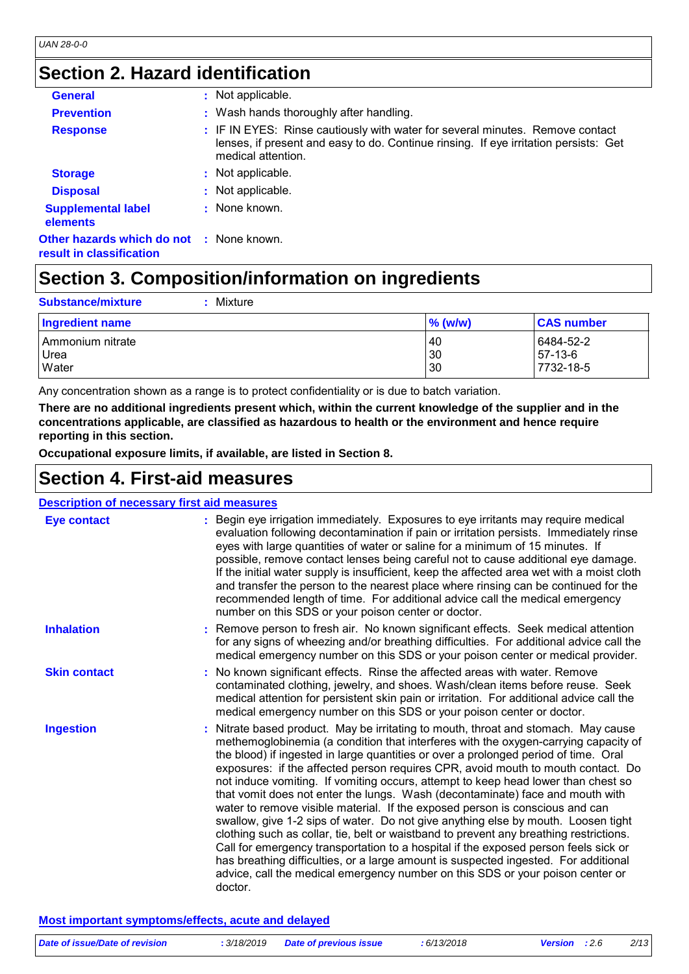## **Section 2. Hazard identification**

| <b>General</b>                                                       | : Not applicable.                                                                                                                                                                           |
|----------------------------------------------------------------------|---------------------------------------------------------------------------------------------------------------------------------------------------------------------------------------------|
|                                                                      |                                                                                                                                                                                             |
| <b>Prevention</b>                                                    | : Wash hands thoroughly after handling.                                                                                                                                                     |
| <b>Response</b>                                                      | : IF IN EYES: Rinse cautiously with water for several minutes. Remove contact<br>lenses, if present and easy to do. Continue rinsing. If eye irritation persists: Get<br>medical attention. |
| <b>Storage</b>                                                       | : Not applicable.                                                                                                                                                                           |
| <b>Disposal</b>                                                      | : Not applicable.                                                                                                                                                                           |
| <b>Supplemental label</b><br><b>elements</b>                         | : None known.                                                                                                                                                                               |
| Other hazards which do not : None known.<br>result in classification |                                                                                                                                                                                             |

# **Section 3. Composition/information on ingredients**

| Mixture<br><b>Substance/mixture</b> |            |                   |
|-------------------------------------|------------|-------------------|
| Ingredient name                     | $\%$ (w/w) | <b>CAS number</b> |
| Ammonium nitrate                    | 40         | 6484-52-2         |
| Urea                                | 30         | 57-13-6           |
| Water                               | 30         | 7732-18-5         |

Any concentration shown as a range is to protect confidentiality or is due to batch variation.

**There are no additional ingredients present which, within the current knowledge of the supplier and in the concentrations applicable, are classified as hazardous to health or the environment and hence require reporting in this section.**

**Occupational exposure limits, if available, are listed in Section 8.**

## **Section 4. First-aid measures**

| <b>Description of necessary first aid measures</b> |                                                                                                                                                                                                                                                                                                                                                                                                                                                                                                                                                                                                                                                                                                                                                                                                                                                                                                                                                                                                                                                                      |
|----------------------------------------------------|----------------------------------------------------------------------------------------------------------------------------------------------------------------------------------------------------------------------------------------------------------------------------------------------------------------------------------------------------------------------------------------------------------------------------------------------------------------------------------------------------------------------------------------------------------------------------------------------------------------------------------------------------------------------------------------------------------------------------------------------------------------------------------------------------------------------------------------------------------------------------------------------------------------------------------------------------------------------------------------------------------------------------------------------------------------------|
| <b>Eye contact</b>                                 | : Begin eye irrigation immediately. Exposures to eye irritants may require medical<br>evaluation following decontamination if pain or irritation persists. Immediately rinse<br>eyes with large quantities of water or saline for a minimum of 15 minutes. If<br>possible, remove contact lenses being careful not to cause additional eye damage.<br>If the initial water supply is insufficient, keep the affected area wet with a moist cloth<br>and transfer the person to the nearest place where rinsing can be continued for the<br>recommended length of time. For additional advice call the medical emergency<br>number on this SDS or your poison center or doctor.                                                                                                                                                                                                                                                                                                                                                                                       |
| <b>Inhalation</b>                                  | : Remove person to fresh air. No known significant effects. Seek medical attention<br>for any signs of wheezing and/or breathing difficulties. For additional advice call the<br>medical emergency number on this SDS or your poison center or medical provider.                                                                                                                                                                                                                                                                                                                                                                                                                                                                                                                                                                                                                                                                                                                                                                                                     |
| <b>Skin contact</b>                                | : No known significant effects. Rinse the affected areas with water. Remove<br>contaminated clothing, jewelry, and shoes. Wash/clean items before reuse. Seek<br>medical attention for persistent skin pain or irritation. For additional advice call the<br>medical emergency number on this SDS or your poison center or doctor.                                                                                                                                                                                                                                                                                                                                                                                                                                                                                                                                                                                                                                                                                                                                   |
| <b>Ingestion</b>                                   | : Nitrate based product. May be irritating to mouth, throat and stomach. May cause<br>methemoglobinemia (a condition that interferes with the oxygen-carrying capacity of<br>the blood) if ingested in large quantities or over a prolonged period of time. Oral<br>exposures: if the affected person requires CPR, avoid mouth to mouth contact. Do<br>not induce vomiting. If vomiting occurs, attempt to keep head lower than chest so<br>that vomit does not enter the lungs. Wash (decontaminate) face and mouth with<br>water to remove visible material. If the exposed person is conscious and can<br>swallow, give 1-2 sips of water. Do not give anything else by mouth. Loosen tight<br>clothing such as collar, tie, belt or waistband to prevent any breathing restrictions.<br>Call for emergency transportation to a hospital if the exposed person feels sick or<br>has breathing difficulties, or a large amount is suspected ingested. For additional<br>advice, call the medical emergency number on this SDS or your poison center or<br>doctor. |

### **Most important symptoms/effects, acute and delayed**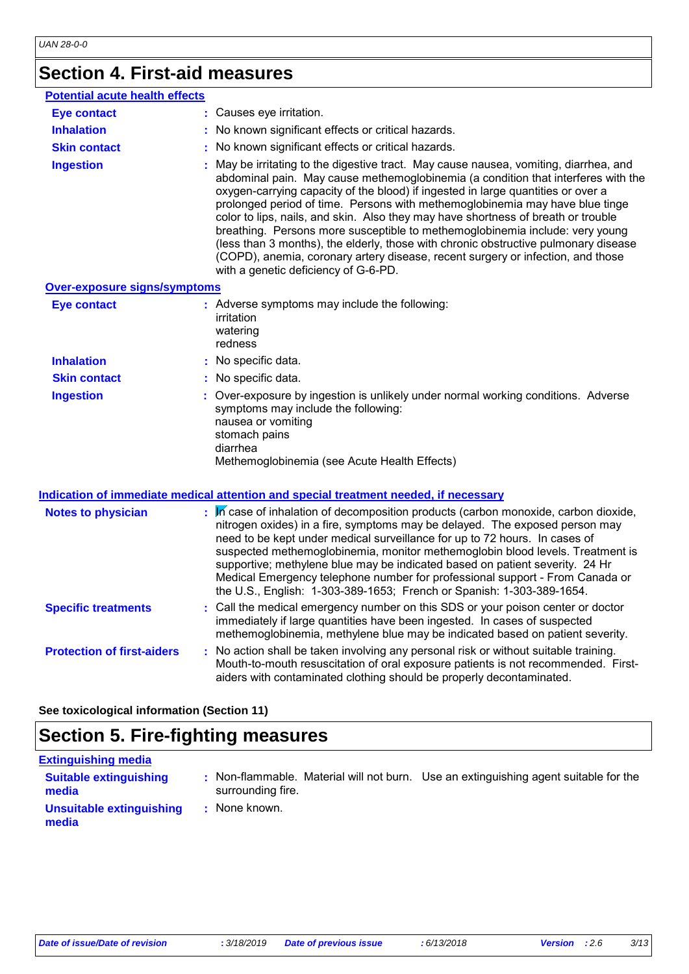# **Section 4. First-aid measures**

| <b>Potential acute health effects</b><br>: Causes eye irritation.<br><b>Eye contact</b><br><b>Inhalation</b><br>: No known significant effects or critical hazards.<br>: No known significant effects or critical hazards.<br><b>Skin contact</b><br>: May be irritating to the digestive tract. May cause nausea, vomiting, diarrhea, and<br><b>Ingestion</b><br>oxygen-carrying capacity of the blood) if ingested in large quantities or over a<br>prolonged period of time. Persons with methemoglobinemia may have blue tinge<br>color to lips, nails, and skin. Also they may have shortness of breath or trouble<br>breathing. Persons more susceptible to methemoglobinemia include: very young<br>(less than 3 months), the elderly, those with chronic obstructive pulmonary disease<br>(COPD), anemia, coronary artery disease, recent surgery or infection, and those<br>with a genetic deficiency of G-6-PD.<br><b>Over-exposure signs/symptoms</b><br>: Adverse symptoms may include the following:<br><b>Eye contact</b><br>irritation<br>watering<br>redness<br><b>Inhalation</b><br>: No specific data.<br>: No specific data.<br><b>Skin contact</b><br>: Over-exposure by ingestion is unlikely under normal working conditions. Adverse<br><b>Ingestion</b><br>symptoms may include the following:<br>nausea or vomiting<br>stomach pains<br>diarrhea<br>Methemoglobinemia (see Acute Health Effects) |                                                                                   |
|---------------------------------------------------------------------------------------------------------------------------------------------------------------------------------------------------------------------------------------------------------------------------------------------------------------------------------------------------------------------------------------------------------------------------------------------------------------------------------------------------------------------------------------------------------------------------------------------------------------------------------------------------------------------------------------------------------------------------------------------------------------------------------------------------------------------------------------------------------------------------------------------------------------------------------------------------------------------------------------------------------------------------------------------------------------------------------------------------------------------------------------------------------------------------------------------------------------------------------------------------------------------------------------------------------------------------------------------------------------------------------------------------------------------------|-----------------------------------------------------------------------------------|
|                                                                                                                                                                                                                                                                                                                                                                                                                                                                                                                                                                                                                                                                                                                                                                                                                                                                                                                                                                                                                                                                                                                                                                                                                                                                                                                                                                                                                           |                                                                                   |
|                                                                                                                                                                                                                                                                                                                                                                                                                                                                                                                                                                                                                                                                                                                                                                                                                                                                                                                                                                                                                                                                                                                                                                                                                                                                                                                                                                                                                           |                                                                                   |
|                                                                                                                                                                                                                                                                                                                                                                                                                                                                                                                                                                                                                                                                                                                                                                                                                                                                                                                                                                                                                                                                                                                                                                                                                                                                                                                                                                                                                           |                                                                                   |
|                                                                                                                                                                                                                                                                                                                                                                                                                                                                                                                                                                                                                                                                                                                                                                                                                                                                                                                                                                                                                                                                                                                                                                                                                                                                                                                                                                                                                           |                                                                                   |
|                                                                                                                                                                                                                                                                                                                                                                                                                                                                                                                                                                                                                                                                                                                                                                                                                                                                                                                                                                                                                                                                                                                                                                                                                                                                                                                                                                                                                           | abdominal pain. May cause methemoglobinemia (a condition that interferes with the |
|                                                                                                                                                                                                                                                                                                                                                                                                                                                                                                                                                                                                                                                                                                                                                                                                                                                                                                                                                                                                                                                                                                                                                                                                                                                                                                                                                                                                                           |                                                                                   |
|                                                                                                                                                                                                                                                                                                                                                                                                                                                                                                                                                                                                                                                                                                                                                                                                                                                                                                                                                                                                                                                                                                                                                                                                                                                                                                                                                                                                                           |                                                                                   |
|                                                                                                                                                                                                                                                                                                                                                                                                                                                                                                                                                                                                                                                                                                                                                                                                                                                                                                                                                                                                                                                                                                                                                                                                                                                                                                                                                                                                                           |                                                                                   |
|                                                                                                                                                                                                                                                                                                                                                                                                                                                                                                                                                                                                                                                                                                                                                                                                                                                                                                                                                                                                                                                                                                                                                                                                                                                                                                                                                                                                                           |                                                                                   |
|                                                                                                                                                                                                                                                                                                                                                                                                                                                                                                                                                                                                                                                                                                                                                                                                                                                                                                                                                                                                                                                                                                                                                                                                                                                                                                                                                                                                                           |                                                                                   |

#### **Indication of immediate medical attention and special treatment needed, if necessary**

| <b>Notes to physician</b>         | $\mathbb{R}$ M case of inhalation of decomposition products (carbon monoxide, carbon dioxide,<br>nitrogen oxides) in a fire, symptoms may be delayed. The exposed person may<br>need to be kept under medical surveillance for up to 72 hours. In cases of<br>suspected methemoglobinemia, monitor methemoglobin blood levels. Treatment is<br>supportive; methylene blue may be indicated based on patient severity. 24 Hr<br>Medical Emergency telephone number for professional support - From Canada or<br>the U.S., English: 1-303-389-1653; French or Spanish: 1-303-389-1654. |
|-----------------------------------|--------------------------------------------------------------------------------------------------------------------------------------------------------------------------------------------------------------------------------------------------------------------------------------------------------------------------------------------------------------------------------------------------------------------------------------------------------------------------------------------------------------------------------------------------------------------------------------|
| <b>Specific treatments</b>        | : Call the medical emergency number on this SDS or your poison center or doctor<br>immediately if large quantities have been ingested. In cases of suspected<br>methemoglobinemia, methylene blue may be indicated based on patient severity.                                                                                                                                                                                                                                                                                                                                        |
| <b>Protection of first-aiders</b> | : No action shall be taken involving any personal risk or without suitable training.<br>Mouth-to-mouth resuscitation of oral exposure patients is not recommended. First-<br>aiders with contaminated clothing should be properly decontaminated.                                                                                                                                                                                                                                                                                                                                    |

**See toxicological information (Section 11)**

# **Section 5. Fire-fighting measures**

### **Extinguishing media**

| <b>Suitable extinguishing</b><br>media | surrounding fire. | Non-flammable. Material will not burn. Use an extinguishing agent suitable for the |
|----------------------------------------|-------------------|------------------------------------------------------------------------------------|
| Unsuitable extinguishing<br>media      | : None known.     |                                                                                    |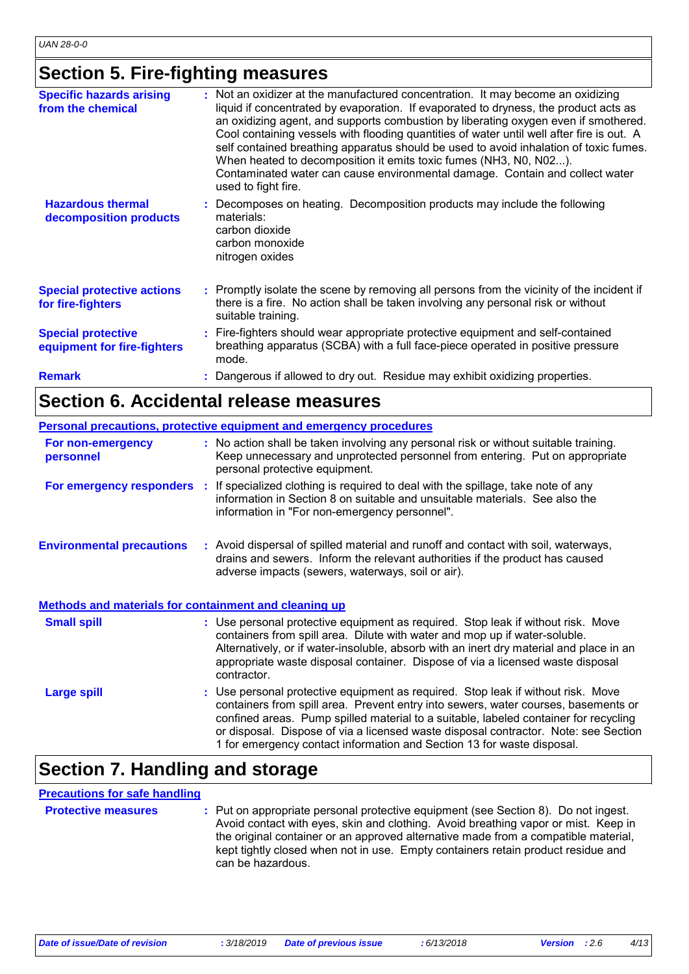## **Section 5. Fire-fighting measures**

| <b>Specific hazards arising</b><br>from the chemical     | : Not an oxidizer at the manufactured concentration. It may become an oxidizing<br>liquid if concentrated by evaporation. If evaporated to dryness, the product acts as<br>an oxidizing agent, and supports combustion by liberating oxygen even if smothered.<br>Cool containing vessels with flooding quantities of water until well after fire is out. A<br>self contained breathing apparatus should be used to avoid inhalation of toxic fumes.<br>When heated to decomposition it emits toxic fumes (NH3, N0, N02).<br>Contaminated water can cause environmental damage. Contain and collect water<br>used to fight fire. |
|----------------------------------------------------------|----------------------------------------------------------------------------------------------------------------------------------------------------------------------------------------------------------------------------------------------------------------------------------------------------------------------------------------------------------------------------------------------------------------------------------------------------------------------------------------------------------------------------------------------------------------------------------------------------------------------------------|
| <b>Hazardous thermal</b><br>decomposition products       | : Decomposes on heating. Decomposition products may include the following<br>materials:<br>carbon dioxide<br>carbon monoxide<br>nitrogen oxides                                                                                                                                                                                                                                                                                                                                                                                                                                                                                  |
| <b>Special protective actions</b><br>for fire-fighters   | : Promptly isolate the scene by removing all persons from the vicinity of the incident if<br>there is a fire. No action shall be taken involving any personal risk or without<br>suitable training.                                                                                                                                                                                                                                                                                                                                                                                                                              |
| <b>Special protective</b><br>equipment for fire-fighters | : Fire-fighters should wear appropriate protective equipment and self-contained<br>breathing apparatus (SCBA) with a full face-piece operated in positive pressure<br>mode.                                                                                                                                                                                                                                                                                                                                                                                                                                                      |
| <b>Remark</b>                                            | : Dangerous if allowed to dry out. Residue may exhibit oxidizing properties.                                                                                                                                                                                                                                                                                                                                                                                                                                                                                                                                                     |

### **Section 6. Accidental release measures**

|                                                       | Personal precautions, protective equipment and emergency procedures                                                                                                                                                                                                                                                                                                                                                             |
|-------------------------------------------------------|---------------------------------------------------------------------------------------------------------------------------------------------------------------------------------------------------------------------------------------------------------------------------------------------------------------------------------------------------------------------------------------------------------------------------------|
| For non-emergency<br>personnel                        | : No action shall be taken involving any personal risk or without suitable training.<br>Keep unnecessary and unprotected personnel from entering. Put on appropriate<br>personal protective equipment.                                                                                                                                                                                                                          |
|                                                       | For emergency responders : If specialized clothing is required to deal with the spillage, take note of any<br>information in Section 8 on suitable and unsuitable materials. See also the<br>information in "For non-emergency personnel".                                                                                                                                                                                      |
| <b>Environmental precautions</b>                      | : Avoid dispersal of spilled material and runoff and contact with soil, waterways,<br>drains and sewers. Inform the relevant authorities if the product has caused<br>adverse impacts (sewers, waterways, soil or air).                                                                                                                                                                                                         |
| Methods and materials for containment and cleaning up |                                                                                                                                                                                                                                                                                                                                                                                                                                 |
| <b>Small spill</b>                                    | : Use personal protective equipment as required. Stop leak if without risk. Move<br>containers from spill area. Dilute with water and mop up if water-soluble.<br>Alternatively, or if water-insoluble, absorb with an inert dry material and place in an<br>appropriate waste disposal container. Dispose of via a licensed waste disposal<br>contractor.                                                                      |
| <b>Large spill</b>                                    | : Use personal protective equipment as required. Stop leak if without risk. Move<br>containers from spill area. Prevent entry into sewers, water courses, basements or<br>confined areas. Pump spilled material to a suitable, labeled container for recycling<br>or disposal. Dispose of via a licensed waste disposal contractor. Note: see Section<br>1 for emergency contact information and Section 13 for waste disposal. |

# **Section 7. Handling and storage**

### **Precautions for safe handling**

**Protective measures** : Put on appropriate personal protective equipment (see Section 8). Do not ingest. Avoid contact with eyes, skin and clothing. Avoid breathing vapor or mist. Keep in the original container or an approved alternative made from a compatible material, kept tightly closed when not in use. Empty containers retain product residue and can be hazardous.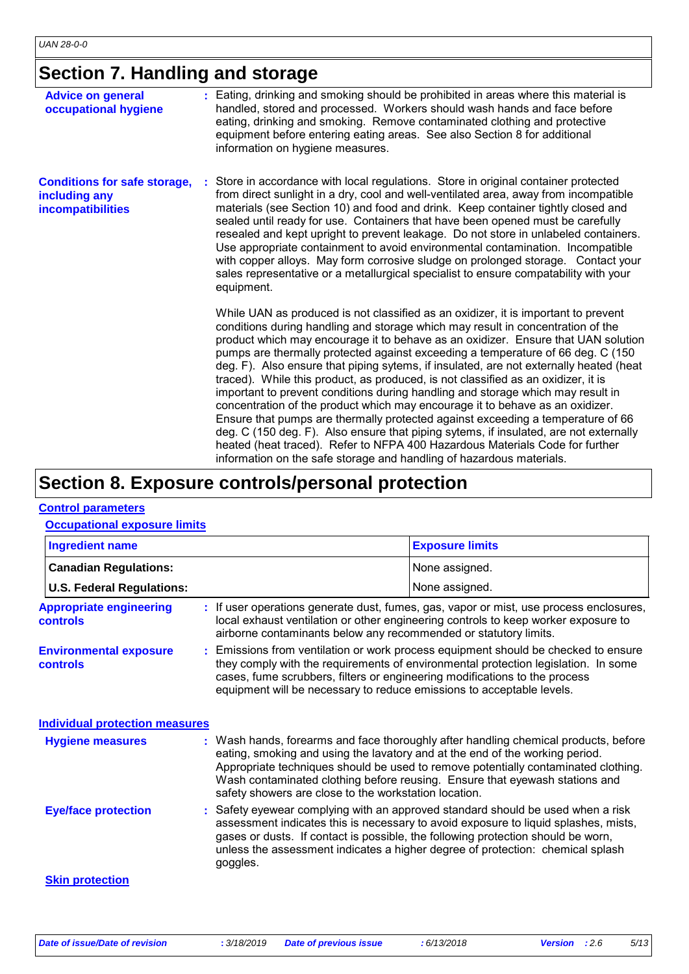# **Section 7. Handling and storage**

| <b>Advice on general</b><br>occupational hygiene                          | : Eating, drinking and smoking should be prohibited in areas where this material is<br>handled, stored and processed. Workers should wash hands and face before<br>eating, drinking and smoking. Remove contaminated clothing and protective<br>equipment before entering eating areas. See also Section 8 for additional<br>information on hygiene measures.                                                                                                                                                                                                                                                                                                                                                                                                                                                                                                                                                                                                                                                                         |
|---------------------------------------------------------------------------|---------------------------------------------------------------------------------------------------------------------------------------------------------------------------------------------------------------------------------------------------------------------------------------------------------------------------------------------------------------------------------------------------------------------------------------------------------------------------------------------------------------------------------------------------------------------------------------------------------------------------------------------------------------------------------------------------------------------------------------------------------------------------------------------------------------------------------------------------------------------------------------------------------------------------------------------------------------------------------------------------------------------------------------|
| <b>Conditions for safe storage,</b><br>including any<br>incompatibilities | : Store in accordance with local regulations. Store in original container protected<br>from direct sunlight in a dry, cool and well-ventilated area, away from incompatible<br>materials (see Section 10) and food and drink. Keep container tightly closed and<br>sealed until ready for use. Containers that have been opened must be carefully<br>resealed and kept upright to prevent leakage. Do not store in unlabeled containers.<br>Use appropriate containment to avoid environmental contamination. Incompatible<br>with copper alloys. May form corrosive sludge on prolonged storage. Contact your<br>sales representative or a metallurgical specialist to ensure compatability with your<br>equipment.                                                                                                                                                                                                                                                                                                                  |
|                                                                           | While UAN as produced is not classified as an oxidizer, it is important to prevent<br>conditions during handling and storage which may result in concentration of the<br>product which may encourage it to behave as an oxidizer. Ensure that UAN solution<br>pumps are thermally protected against exceeding a temperature of 66 deg. C (150)<br>deg. F). Also ensure that piping sytems, if insulated, are not externally heated (heat<br>traced). While this product, as produced, is not classified as an oxidizer, it is<br>important to prevent conditions during handling and storage which may result in<br>concentration of the product which may encourage it to behave as an oxidizer.<br>Ensure that pumps are thermally protected against exceeding a temperature of 66<br>deg. C (150 deg. F). Also ensure that piping sytems, if insulated, are not externally<br>heated (heat traced). Refer to NFPA 400 Hazardous Materials Code for further<br>information on the safe storage and handling of hazardous materials. |

## **Section 8. Exposure controls/personal protection**

#### **Control parameters**

#### **Occupational exposure limits**

| <b>Ingredient name</b>                            |                                                                                                                                                                                                                                                                                                                                 | <b>Exposure limits</b>                                                                                                                                                                                                                                                                                                                       |  |
|---------------------------------------------------|---------------------------------------------------------------------------------------------------------------------------------------------------------------------------------------------------------------------------------------------------------------------------------------------------------------------------------|----------------------------------------------------------------------------------------------------------------------------------------------------------------------------------------------------------------------------------------------------------------------------------------------------------------------------------------------|--|
| <b>Canadian Regulations:</b>                      |                                                                                                                                                                                                                                                                                                                                 | None assigned.                                                                                                                                                                                                                                                                                                                               |  |
| <b>U.S. Federal Regulations:</b>                  |                                                                                                                                                                                                                                                                                                                                 | None assigned.                                                                                                                                                                                                                                                                                                                               |  |
| <b>Appropriate engineering</b><br><b>controls</b> | airborne contaminants below any recommended or statutory limits.                                                                                                                                                                                                                                                                | : If user operations generate dust, fumes, gas, vapor or mist, use process enclosures,<br>local exhaust ventilation or other engineering controls to keep worker exposure to                                                                                                                                                                 |  |
| <b>Environmental exposure</b><br><b>controls</b>  | : Emissions from ventilation or work process equipment should be checked to ensure<br>they comply with the requirements of environmental protection legislation. In some<br>cases, fume scrubbers, filters or engineering modifications to the process<br>equipment will be necessary to reduce emissions to acceptable levels. |                                                                                                                                                                                                                                                                                                                                              |  |
| <b>Individual protection measures</b>             |                                                                                                                                                                                                                                                                                                                                 |                                                                                                                                                                                                                                                                                                                                              |  |
| <b>Hygiene measures</b>                           | safety showers are close to the workstation location.                                                                                                                                                                                                                                                                           | : Wash hands, forearms and face thoroughly after handling chemical products, before<br>eating, smoking and using the lavatory and at the end of the working period.<br>Appropriate techniques should be used to remove potentially contaminated clothing.<br>Wash contaminated clothing before reusing. Ensure that eyewash stations and     |  |
| <b>Eye/face protection</b>                        | goggles.                                                                                                                                                                                                                                                                                                                        | : Safety eyewear complying with an approved standard should be used when a risk<br>assessment indicates this is necessary to avoid exposure to liquid splashes, mists,<br>gases or dusts. If contact is possible, the following protection should be worn,<br>unless the assessment indicates a higher degree of protection: chemical splash |  |
| <b>Skin protection</b>                            |                                                                                                                                                                                                                                                                                                                                 |                                                                                                                                                                                                                                                                                                                                              |  |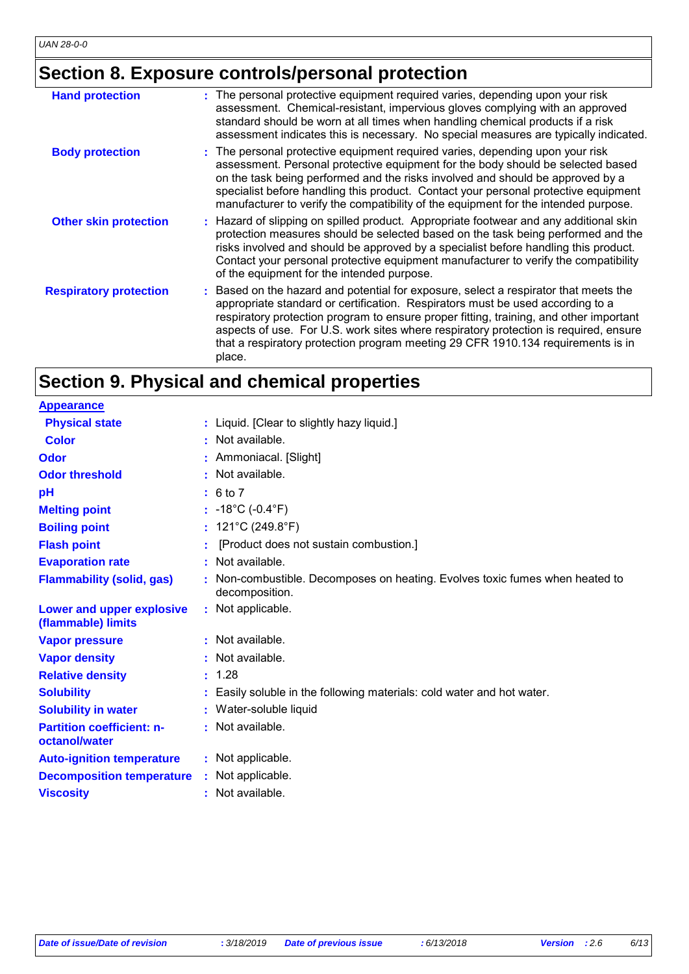# **Section 8. Exposure controls/personal protection**

| : The personal protective equipment required varies, depending upon your risk<br>assessment. Chemical-resistant, impervious gloves complying with an approved<br>standard should be worn at all times when handling chemical products if a risk<br>assessment indicates this is necessary. No special measures are typically indicated.                                                                                                                |
|--------------------------------------------------------------------------------------------------------------------------------------------------------------------------------------------------------------------------------------------------------------------------------------------------------------------------------------------------------------------------------------------------------------------------------------------------------|
| : The personal protective equipment required varies, depending upon your risk<br>assessment. Personal protective equipment for the body should be selected based<br>on the task being performed and the risks involved and should be approved by a<br>specialist before handling this product. Contact your personal protective equipment<br>manufacturer to verify the compatibility of the equipment for the intended purpose.                       |
| : Hazard of slipping on spilled product. Appropriate footwear and any additional skin<br>protection measures should be selected based on the task being performed and the<br>risks involved and should be approved by a specialist before handling this product.<br>Contact your personal protective equipment manufacturer to verify the compatibility<br>of the equipment for the intended purpose.                                                  |
| : Based on the hazard and potential for exposure, select a respirator that meets the<br>appropriate standard or certification. Respirators must be used according to a<br>respiratory protection program to ensure proper fitting, training, and other important<br>aspects of use. For U.S. work sites where respiratory protection is required, ensure<br>that a respiratory protection program meeting 29 CFR 1910.134 requirements is in<br>place. |
|                                                                                                                                                                                                                                                                                                                                                                                                                                                        |

# **Section 9. Physical and chemical properties**

| <b>Appearance</b>                                 |                                                                                              |
|---------------------------------------------------|----------------------------------------------------------------------------------------------|
| <b>Physical state</b>                             | : Liquid. [Clear to slightly hazy liquid.]                                                   |
| <b>Color</b>                                      | : Not available.                                                                             |
| Odor                                              | : Ammoniacal. [Slight]                                                                       |
| <b>Odor threshold</b>                             | : Not available.                                                                             |
| pH                                                | : 6 to 7                                                                                     |
| <b>Melting point</b>                              | : $-18^{\circ}$ C ( $-0.4^{\circ}$ F)                                                        |
| <b>Boiling point</b>                              | : $121^{\circ}$ C (249.8 $^{\circ}$ F)                                                       |
| <b>Flash point</b>                                | [Product does not sustain combustion.]                                                       |
| <b>Evaporation rate</b>                           | Not available.                                                                               |
| <b>Flammability (solid, gas)</b>                  | Non-combustible. Decomposes on heating. Evolves toxic fumes when heated to<br>decomposition. |
| Lower and upper explosive<br>(flammable) limits   | : Not applicable.                                                                            |
| <b>Vapor pressure</b>                             | : Not available.                                                                             |
| <b>Vapor density</b>                              | Not available.                                                                               |
| <b>Relative density</b>                           | : 1.28                                                                                       |
| <b>Solubility</b>                                 | Easily soluble in the following materials: cold water and hot water.                         |
| <b>Solubility in water</b>                        | : Water-soluble liquid                                                                       |
| <b>Partition coefficient: n-</b><br>octanol/water | : Not available.                                                                             |
| <b>Auto-ignition temperature</b>                  | : Not applicable.                                                                            |
| <b>Decomposition temperature</b>                  | : Not applicable.                                                                            |
| <b>Viscosity</b>                                  | : Not available.                                                                             |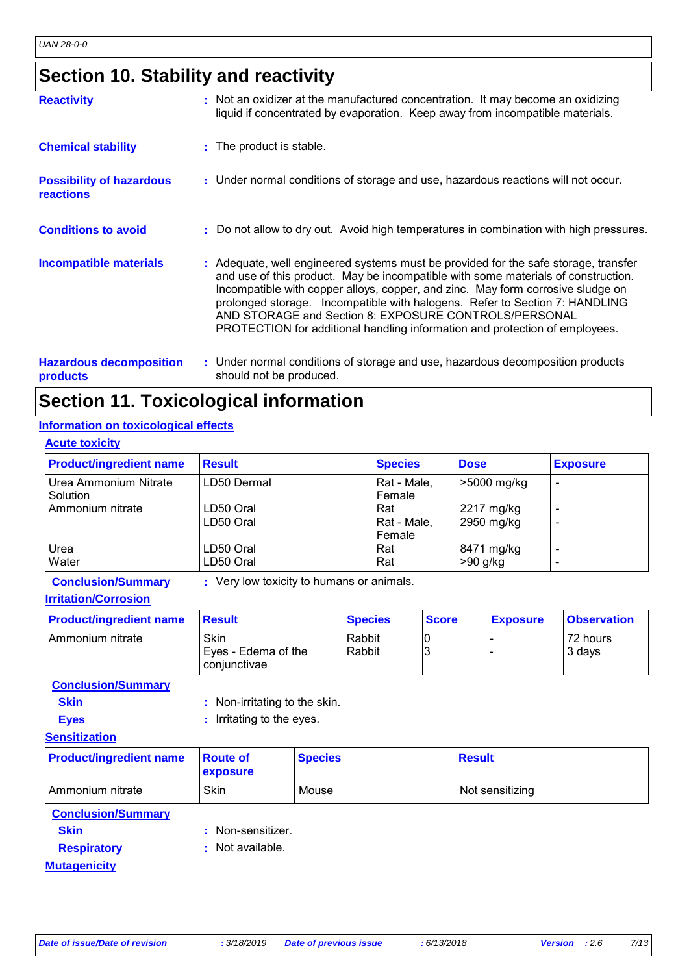# **Section 10. Stability and reactivity**

| <b>Reactivity</b>                                   | : Not an oxidizer at the manufactured concentration. It may become an oxidizing<br>liquid if concentrated by evaporation. Keep away from incompatible materials.                                                                                                                                                                                                                                                                                                                   |  |
|-----------------------------------------------------|------------------------------------------------------------------------------------------------------------------------------------------------------------------------------------------------------------------------------------------------------------------------------------------------------------------------------------------------------------------------------------------------------------------------------------------------------------------------------------|--|
| <b>Chemical stability</b>                           | : The product is stable.                                                                                                                                                                                                                                                                                                                                                                                                                                                           |  |
| <b>Possibility of hazardous</b><br><b>reactions</b> | : Under normal conditions of storage and use, hazardous reactions will not occur.                                                                                                                                                                                                                                                                                                                                                                                                  |  |
| <b>Conditions to avoid</b>                          | : Do not allow to dry out. Avoid high temperatures in combination with high pressures.                                                                                                                                                                                                                                                                                                                                                                                             |  |
| <b>Incompatible materials</b>                       | : Adequate, well engineered systems must be provided for the safe storage, transfer<br>and use of this product. May be incompatible with some materials of construction.<br>Incompatible with copper alloys, copper, and zinc. May form corrosive sludge on<br>prolonged storage. Incompatible with halogens. Refer to Section 7: HANDLING<br>AND STORAGE and Section 8: EXPOSURE CONTROLS/PERSONAL<br>PROTECTION for additional handling information and protection of employees. |  |
| <b>Hazardous decomposition</b><br><b>products</b>   | : Under normal conditions of storage and use, hazardous decomposition products<br>should not be produced.                                                                                                                                                                                                                                                                                                                                                                          |  |

# **Section 11. Toxicological information**

### **Information on toxicological effects**

| <b>Acute toxicity</b>             |                        |                              |                          |                                                      |
|-----------------------------------|------------------------|------------------------------|--------------------------|------------------------------------------------------|
| <b>Product/ingredient name</b>    | <b>Result</b>          | <b>Species</b>               | <b>Dose</b>              | <b>Exposure</b>                                      |
| Urea Ammonium Nitrate<br>Solution | LD50 Dermal            | Rat - Male,<br>Female        | >5000 mg/kg              | $\overline{\phantom{a}}$                             |
| Ammonium nitrate                  | LD50 Oral<br>LD50 Oral | Rat<br>Rat - Male,<br>Female | 2217 mg/kg<br>2950 mg/kg | $\overline{\phantom{0}}$<br>-                        |
| Urea<br>Water                     | LD50 Oral<br>LD50 Oral | Rat<br>Rat                   | 8471 mg/kg<br>$>90$ g/kg | $\overline{\phantom{a}}$<br>$\overline{\phantom{0}}$ |

**Conclusion/Summary :** Very low toxicity to humans or animals.

| <b>Product/ingredient name</b> | <b>Result</b>                               | <b>Species</b>   | <b>Score</b> | <b>Exposure</b> | <b>Observation</b> |
|--------------------------------|---------------------------------------------|------------------|--------------|-----------------|--------------------|
| l Ammonium nitrate             | Skin<br>Eyes - Edema of the<br>coniunctivae | Rabbit<br>Rabbit |              |                 | 72 hours<br>3 days |

**Conclusion/Summary**

| <b>Skin</b> | : Non-irritating to the skin. |
|-------------|-------------------------------|
| <b>Eyes</b> | : Irritating to the eyes.     |

#### **Sensitization**

| <b>Product/ingredient name</b> | <b>Route of</b><br><b>exposure</b> | <b>Species</b> | <b>Result</b>   |
|--------------------------------|------------------------------------|----------------|-----------------|
| l Ammonium nitrate             | Skin                               | Mouse          | Not sensitizing |

### **Conclusion/Summary**

- 
- **Skin** : Non-sensitizer.
- **Respiratory :** Not available.

### **Mutagenicity**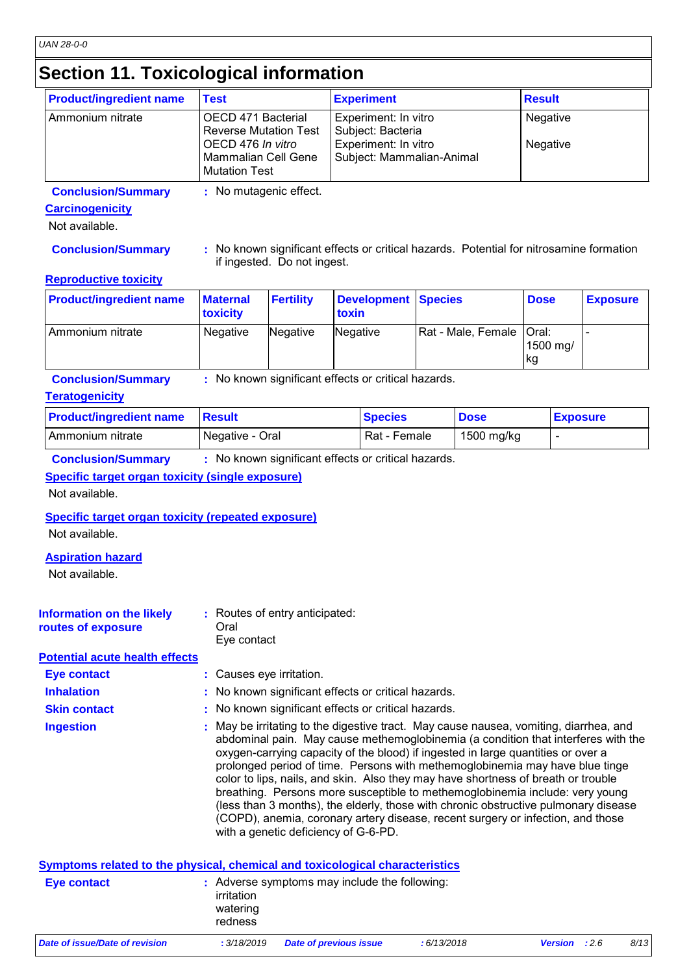## **Section 11. Toxicological information**

| <b>Product/ingredient name</b> | <b>Test</b>                                                                                                                   | <b>Experiment</b>                                                                              | <b>Result</b>        |
|--------------------------------|-------------------------------------------------------------------------------------------------------------------------------|------------------------------------------------------------------------------------------------|----------------------|
| Ammonium nitrate               | OECD 471 Bacterial<br><b>Reverse Mutation Test</b><br>OECD 476 In vitro<br><b>Mammalian Cell Gene</b><br><b>Mutation Test</b> | Experiment: In vitro<br>Subject: Bacteria<br>Experiment: In vitro<br>Subject: Mammalian-Animal | Negative<br>Negative |

**Conclusion/Summary :** No mutagenic effect.

#### **Carcinogenicity**

Not available.

**Conclusion/Summary :** No known significant effects or critical hazards. Potential for nitrosamine formation if ingested. Do not ingest.

#### **Reproductive toxicity**

| <b>Product/ingredient name</b> | <b>Maternal</b><br><b>toxicity</b> | <b>Fertility</b> | Development Species<br>toxin |                            | <b>Dose</b>     | <b>Exposure</b> |
|--------------------------------|------------------------------------|------------------|------------------------------|----------------------------|-----------------|-----------------|
| I Ammonium nitrate             | Negative                           | Negative         | Negative                     | Rat - Male, Female   Oral: | 1500 mg/<br> kg |                 |

**Conclusion/Summary :** No known significant effects or critical hazards.

#### **Teratogenicity**

| <b>Product/ingredient name</b> | <b>Result</b>   | <b>Species</b> | <b>Dose</b> | <b>Exposure</b> |
|--------------------------------|-----------------|----------------|-------------|-----------------|
| I Ammonium nitrate             | Negative - Oral | Rat - Female   | 1500 mg/kg  |                 |

**Conclusion/Summary :** No known significant effects or critical hazards.

### **Specific target organ toxicity (single exposure)**

Not available.

#### **Specific target organ toxicity (repeated exposure)**

Not available.

#### **Aspiration hazard**

Not available.

| <b>Information on the likely</b> | : Routes of entry anticipated: |
|----------------------------------|--------------------------------|
| routes of exposure               | Oral                           |
|                                  | Eve contact                    |

#### **Potential acute health effects**

| <b>Eye contact</b> | : Causes eye irritation. |
|--------------------|--------------------------|
|                    |                          |

**Inhalation : No known significant effects or critical hazards.** 

- **Skin contact :** No known significant effects or critical hazards.
- May be irritating to the digestive tract. May cause nausea, vomiting, diarrhea, and abdominal pain. May cause methemoglobinemia (a condition that interferes with the oxygen-carrying capacity of the blood) if ingested in large quantities or over a prolonged period of time. Persons with methemoglobinemia may have blue tinge color to lips, nails, and skin. Also they may have shortness of breath or trouble breathing. Persons more susceptible to methemoglobinemia include: very young (less than 3 months), the elderly, those with chronic obstructive pulmonary disease (COPD), anemia, coronary artery disease, recent surgery or infection, and those with a genetic deficiency of G-6-PD. **Ingestion :**

| Symptoms related to the physical, chemical and toxicological characteristics |                                   |                                               |            |                      |      |
|------------------------------------------------------------------------------|-----------------------------------|-----------------------------------------------|------------|----------------------|------|
| Eye contact                                                                  | irritation<br>watering<br>redness | : Adverse symptoms may include the following: |            |                      |      |
| Date of issue/Date of revision                                               | : 3/18/2019                       | <b>Date of previous issue</b>                 | :6/13/2018 | <b>Version</b> : 2.6 | 8/13 |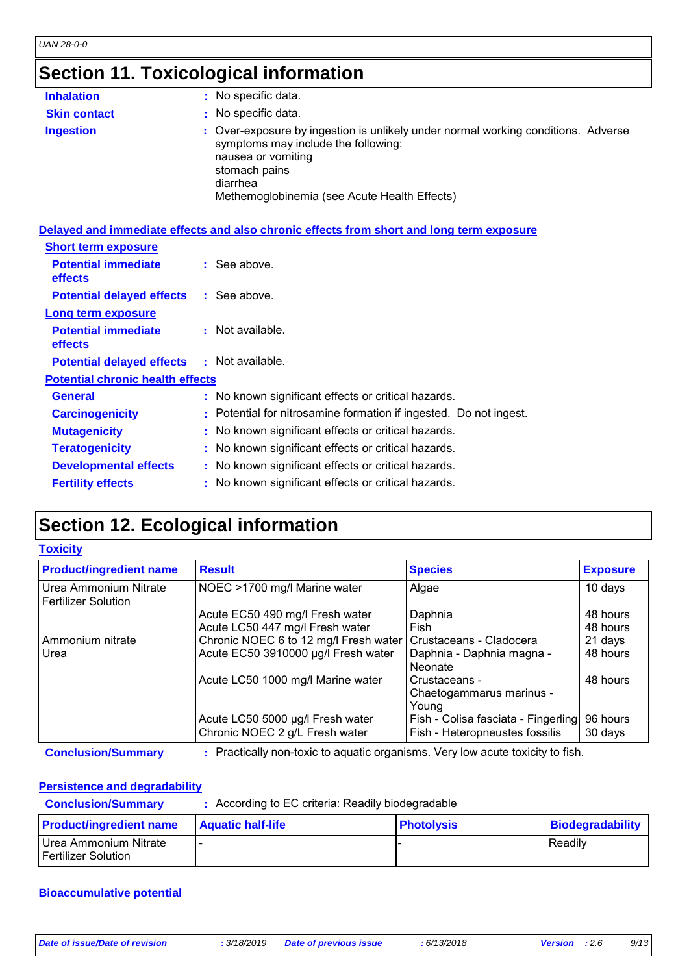# **Section 11. Toxicological information**

| <b>Inhalation</b>   | : No specific data.                                                                                                                                                                                                         |
|---------------------|-----------------------------------------------------------------------------------------------------------------------------------------------------------------------------------------------------------------------------|
| <b>Skin contact</b> | : No specific data.                                                                                                                                                                                                         |
| <b>Ingestion</b>    | : Over-exposure by ingestion is unlikely under normal working conditions. Adverse<br>symptoms may include the following:<br>nausea or vomiting<br>stomach pains<br>diarrhea<br>Methemoglobinemia (see Acute Health Effects) |

|                                                   | Delayed and immediate effects and also chronic effects from short and long term exposure |
|---------------------------------------------------|------------------------------------------------------------------------------------------|
| <b>Short term exposure</b>                        |                                                                                          |
| <b>Potential immediate</b><br><b>effects</b>      | $\therefore$ See above.                                                                  |
| <b>Potential delayed effects : See above.</b>     |                                                                                          |
| Long term exposure                                |                                                                                          |
| <b>Potential immediate</b><br><b>effects</b>      | : Not available.                                                                         |
| <b>Potential delayed effects : Not available.</b> |                                                                                          |
| <b>Potential chronic health effects</b>           |                                                                                          |
| <b>General</b>                                    | : No known significant effects or critical hazards.                                      |
| <b>Carcinogenicity</b>                            | : Potential for nitrosamine formation if ingested. Do not ingest.                        |
| <b>Mutagenicity</b>                               | : No known significant effects or critical hazards.                                      |
| <b>Teratogenicity</b>                             | : No known significant effects or critical hazards.                                      |
| <b>Developmental effects</b>                      | : No known significant effects or critical hazards.                                      |
| <b>Fertility effects</b>                          | : No known significant effects or critical hazards.                                      |
|                                                   |                                                                                          |

## **Section 12. Ecological information**

#### **Toxicity**

| <b>Product/ingredient name</b>                      | <b>Result</b>                         | <b>Species</b>                      | <b>Exposure</b> |
|-----------------------------------------------------|---------------------------------------|-------------------------------------|-----------------|
| Urea Ammonium Nitrate<br><b>Fertilizer Solution</b> | NOEC >1700 mg/l Marine water          | Algae                               | 10 days         |
|                                                     | Acute EC50 490 mg/l Fresh water       | Daphnia                             | 48 hours        |
|                                                     | Acute LC50 447 mg/l Fresh water       | Fish                                | 48 hours        |
| Ammonium nitrate                                    | Chronic NOEC 6 to 12 mg/l Fresh water | Crustaceans - Cladocera             | 21 days         |
| Urea                                                | Acute EC50 3910000 µg/l Fresh water   | Daphnia - Daphnia magna -           | 48 hours        |
|                                                     |                                       | <b>Neonate</b>                      |                 |
|                                                     | Acute LC50 1000 mg/l Marine water     | Crustaceans -                       | 48 hours        |
|                                                     |                                       | Chaetogammarus marinus -            |                 |
|                                                     |                                       | Young                               |                 |
|                                                     | Acute LC50 5000 µg/l Fresh water      | Fish - Colisa fasciata - Fingerling | 96 hours        |
|                                                     | Chronic NOEC 2 g/L Fresh water        | Fish - Heteropneustes fossilis      | 30 days         |

**Conclusion/Summary :** Practically non-toxic to aquatic organisms. Very low acute toxicity to fish.

#### **Persistence and degradability**

| <b>Conclusion/Summary</b>                    | : According to EC criteria: Readily biodegradable |                   |                         |  |  |
|----------------------------------------------|---------------------------------------------------|-------------------|-------------------------|--|--|
| <b>Product/ingredient name</b>               | <b>Aquatic half-life</b>                          | <b>Photolysis</b> | <b>Biodegradability</b> |  |  |
| Urea Ammonium Nitrate<br>Fertilizer Solution |                                                   |                   | Readily                 |  |  |

#### **Bioaccumulative potential**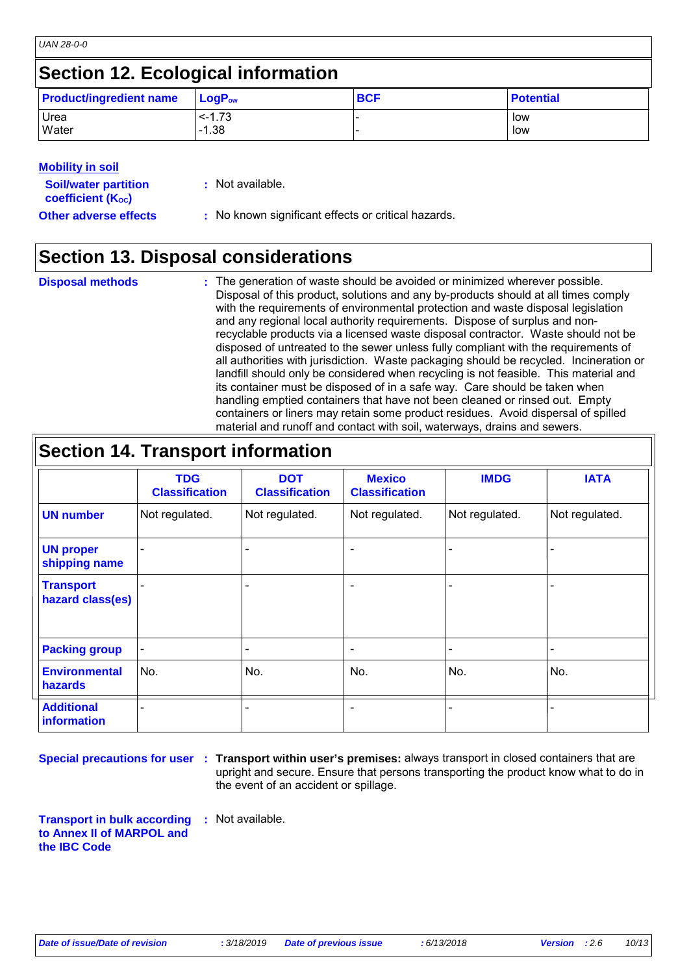## **Section 12. Ecological information**

| <b>Product/ingredient name</b> | $\mathsf{LogP}_\mathsf{ow}$ | <b>BCF</b> | <b>Potential</b> |
|--------------------------------|-----------------------------|------------|------------------|
| Urea                           | $< -1.73$                   |            | low              |
| <b>Water</b>                   | $-1.38$                     |            | low              |

### **Mobility in soil**

| <b>Soil/water partition</b><br>coefficient (K <sub>oc</sub> ) | : Not available.                                    |
|---------------------------------------------------------------|-----------------------------------------------------|
| <b>Other adverse effects</b>                                  | : No known significant effects or critical hazards. |

## **Section 13. Disposal considerations**

| <b>Disposal methods</b> | : The generation of waste should be avoided or minimized wherever possible.            |
|-------------------------|----------------------------------------------------------------------------------------|
|                         | Disposal of this product, solutions and any by-products should at all times comply     |
|                         | with the requirements of environmental protection and waste disposal legislation       |
|                         | and any regional local authority requirements. Dispose of surplus and non-             |
|                         | recyclable products via a licensed waste disposal contractor. Waste should not be      |
|                         | disposed of untreated to the sewer unless fully compliant with the requirements of     |
|                         | all authorities with jurisdiction. Waste packaging should be recycled. Incineration or |
|                         | landfill should only be considered when recycling is not feasible. This material and   |
|                         | its container must be disposed of in a safe way. Care should be taken when             |
|                         | handling emptied containers that have not been cleaned or rinsed out. Empty            |
|                         | containers or liners may retain some product residues. Avoid dispersal of spilled      |
|                         | material and runoff and contact with soil, waterways, drains and sewers.               |

| <b>Section 14. Transport information</b> |                                     |                                     |                                        |                |                          |  |  |
|------------------------------------------|-------------------------------------|-------------------------------------|----------------------------------------|----------------|--------------------------|--|--|
|                                          | <b>TDG</b><br><b>Classification</b> | <b>DOT</b><br><b>Classification</b> | <b>Mexico</b><br><b>Classification</b> | <b>IMDG</b>    | <b>IATA</b>              |  |  |
| <b>UN number</b>                         | Not regulated.                      | Not regulated.                      | Not regulated.                         | Not regulated. | Not regulated.           |  |  |
| <b>UN proper</b><br>shipping name        |                                     |                                     | $\overline{\phantom{0}}$               |                |                          |  |  |
| <b>Transport</b><br>hazard class(es)     |                                     |                                     | ۰                                      |                |                          |  |  |
| <b>Packing group</b>                     |                                     |                                     | $\qquad \qquad$                        |                |                          |  |  |
| <b>Environmental</b><br><b>hazards</b>   | No.                                 | No.                                 | No.                                    | No.            | No.                      |  |  |
| <b>Additional</b><br><b>information</b>  |                                     |                                     | $\overline{\phantom{0}}$               |                | $\overline{\phantom{0}}$ |  |  |

**Special precautions for user** : Transport within user's premises: always transport in closed containers that are upright and secure. Ensure that persons transporting the product know what to do in the event of an accident or spillage.

**Transport in bulk according to Annex II of MARPOL and the IBC Code :** Not available.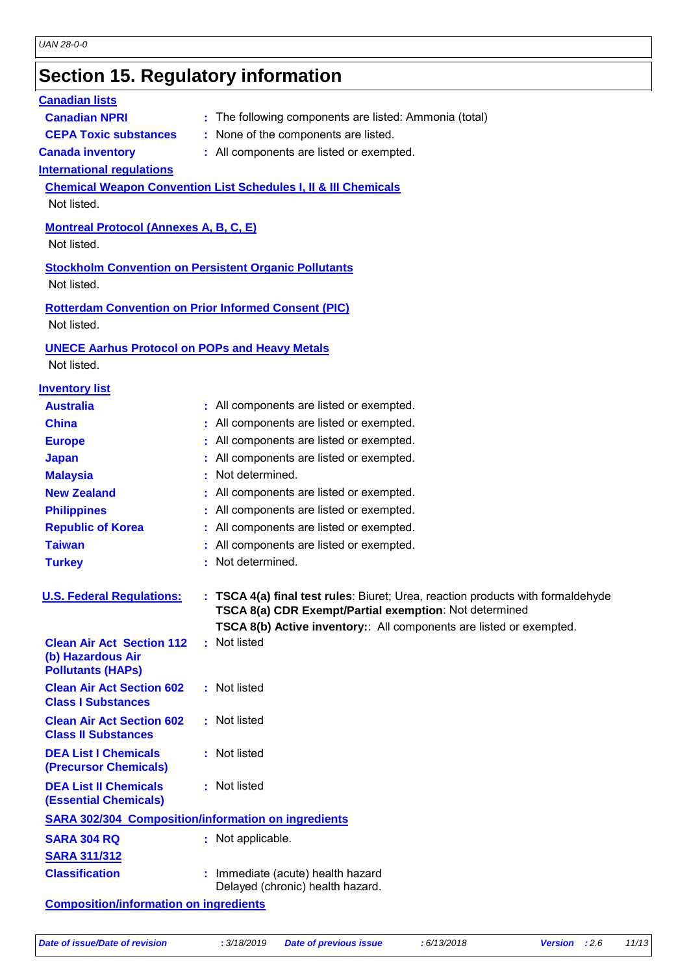## **Section 15. Regulatory information**

### **International regulations Montreal Protocol (Annexes A, B, C, E)** Not listed. **Stockholm Convention on Persistent Organic Pollutants** Not listed. **Rotterdam Convention on Prior Informed Consent (PIC)** Not listed. **Chemical Weapon Convention List Schedules I, II & III Chemicals** Not listed. **UNECE Aarhus Protocol on POPs and Heavy Metals** Not listed. **Inventory list Australia :** All components are listed or exempted. **Canada inventory :** All components are listed or exempted. **China** : All components are listed or exempted. **Europe** : All components are listed or exempted. **Japan :** All components are listed or exempted. **Republic of Korea :** All components are listed or exempted. **Malaysia :** Not determined. **New Zealand :** All components are listed or exempted. **Philippines :** All components are listed or exempted. **Taiwan :** All components are listed or exempted. **Canadian lists Canadian NPRI** : The following components are listed: Ammonia (total) **CEPA Toxic substances :** None of the components are listed. **Turkey : Not determined. U. S. Federal Regulations: : TSCA 4(a) final test rules**: Biuret; Urea, reaction products with formaldehyde **TSCA 8(a) CDR Exempt/Partial exemption**: Not determined **TSCA 8(b) Active inventory:**: All components are listed or exempted. **Clean Air Act Section 112 (b) Hazardous Air Pollutants (HAPs) :** Not listed **Clean Air Act Section 602 Class I Substances :** Not listed **Clean Air Act Section 602 Class II Substances :** Not listed **DEA List I Chemicals (Precursor Chemicals) :** Not listed **DEA List II Chemicals (Essential Chemicals) :** Not listed **SARA 302/304 Composition/information on ingredients**

### **Classification :** Immediate (acute) health hazard Delayed (chronic) health hazard.

**Composition/information on ingredients**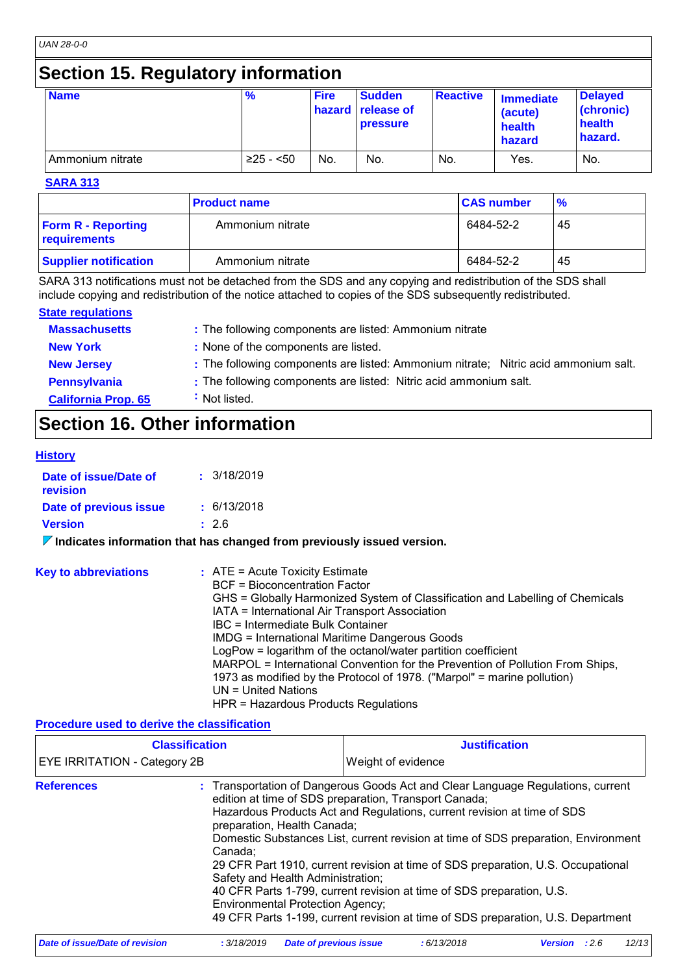# **Section 15. Regulatory information**

| <b>Name</b>      | $\frac{9}{6}$ | <b>Fire</b> | <b>Sudden</b><br><b>hazard</b> release of<br>pressure | <b>Reactive</b> | <b>Immediate</b><br>(acute)<br>health<br>hazard | <b>Delayed</b><br>(chronic)<br>health<br>hazard. |
|------------------|---------------|-------------|-------------------------------------------------------|-----------------|-------------------------------------------------|--------------------------------------------------|
| Ammonium nitrate | $≥25 - 50$    | No.         | No.                                                   | No.             | Yes.                                            | No.                                              |

**SARA 313**

|                                           | <b>Product name</b> | <b>CAS number</b> | $\frac{9}{6}$ |  |
|-------------------------------------------|---------------------|-------------------|---------------|--|
| <b>Form R - Reporting</b><br>requirements | Ammonium nitrate    | 6484-52-2         | 45            |  |
| <b>Supplier notification</b>              | Ammonium nitrate    | 6484-52-2         | 45            |  |

SARA 313 notifications must not be detached from the SDS and any copying and redistribution of the SDS shall include copying and redistribution of the notice attached to copies of the SDS subsequently redistributed.

#### **State regulations**

| <b>Massachusetts</b>       | : The following components are listed: Ammonium nitrate                             |
|----------------------------|-------------------------------------------------------------------------------------|
| <b>New York</b>            | : None of the components are listed.                                                |
| <b>New Jersey</b>          | : The following components are listed: Ammonium nitrate; Nitric acid ammonium salt. |
| Pennsylvania               | : The following components are listed: Nitric acid ammonium salt.                   |
| <b>California Prop. 65</b> | Not listed.                                                                         |

# **Section 16. Other information**

#### **History**

| Date of issue/Date of<br>revision | : 3/18/2019 |
|-----------------------------------|-------------|
| Date of previous issue            | : 6/13/2018 |
| <b>Version</b>                    | : 2.6       |

**Indicates information that has changed from previously issued version.**

| <b>Key to abbreviations</b> | $:$ ATE = Acute Toxicity Estimate<br>BCF = Bioconcentration Factor<br>GHS = Globally Harmonized System of Classification and Labelling of Chemicals<br>IATA = International Air Transport Association<br>IBC = Intermediate Bulk Container<br><b>IMDG = International Maritime Dangerous Goods</b><br>LogPow = logarithm of the octanol/water partition coefficient<br>MARPOL = International Convention for the Prevention of Pollution From Ships,<br>1973 as modified by the Protocol of 1978. ("Marpol" = marine pollution)<br>UN = United Nations |
|-----------------------------|--------------------------------------------------------------------------------------------------------------------------------------------------------------------------------------------------------------------------------------------------------------------------------------------------------------------------------------------------------------------------------------------------------------------------------------------------------------------------------------------------------------------------------------------------------|
|                             | HPR = Hazardous Products Regulations                                                                                                                                                                                                                                                                                                                                                                                                                                                                                                                   |

#### **Procedure used to derive the classification**

| <b>Classification</b><br>EYE IRRITATION - Category 2B |                                                                                                                        |                               | <b>Justification</b><br>Weight of evidence                                                                                                                                                                                                                                                                                                                                                                                                                                                                                                                 |                |      |       |
|-------------------------------------------------------|------------------------------------------------------------------------------------------------------------------------|-------------------------------|------------------------------------------------------------------------------------------------------------------------------------------------------------------------------------------------------------------------------------------------------------------------------------------------------------------------------------------------------------------------------------------------------------------------------------------------------------------------------------------------------------------------------------------------------------|----------------|------|-------|
|                                                       |                                                                                                                        |                               |                                                                                                                                                                                                                                                                                                                                                                                                                                                                                                                                                            |                |      |       |
| <b>References</b>                                     | preparation, Health Canada;<br>Canada:<br>Safety and Health Administration;<br><b>Environmental Protection Agency;</b> |                               | : Transportation of Dangerous Goods Act and Clear Language Regulations, current<br>edition at time of SDS preparation, Transport Canada;<br>Hazardous Products Act and Regulations, current revision at time of SDS<br>Domestic Substances List, current revision at time of SDS preparation, Environment<br>29 CFR Part 1910, current revision at time of SDS preparation, U.S. Occupational<br>40 CFR Parts 1-799, current revision at time of SDS preparation, U.S.<br>49 CFR Parts 1-199, current revision at time of SDS preparation, U.S. Department |                |      |       |
| <b>Date of issue/Date of revision</b>                 | : 3/18/2019                                                                                                            | <b>Date of previous issue</b> | :6/13/2018                                                                                                                                                                                                                                                                                                                                                                                                                                                                                                                                                 | <b>Version</b> | :2.6 | 12/13 |